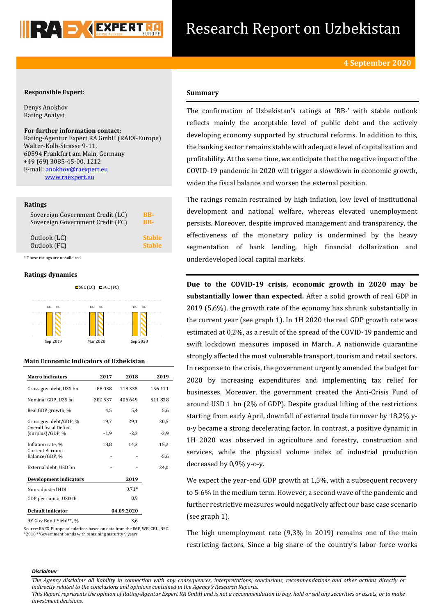

# Research Report on Uzbekistan

# **Responsible Expert:**

Denys Anokhov Rating Analyst

**For further information contact:**

Rating-Agentur Expert RA GmbH (RAEX-Europe) Walter-Kolb-Strasse 9-11, 60594 Frankfurt am Main, Germany +49 (69) 3085-45-00, 1212 E-mail[: anokhov@raexpert.eu](mailto:anokhov@raexpert.eu) [www.raexpert.eu](http://raexpert.eu/)

#### **Ratings**

| Sovereign Government Credit (FC)<br><b>BB-</b> |               |
|------------------------------------------------|---------------|
| Outlook (LC)                                   | <b>Stable</b> |
| Outlook (FC)                                   | <b>Stable</b> |

\* These ratings are unsolicited

### **Ratings dynamics**



## **Main Economic Indicators of Uzbekistan**

| <b>Macro</b> indicators                    | 2017       | 2018    | 2019    |
|--------------------------------------------|------------|---------|---------|
| Gross gov. debt, UZS bn                    | 88038      | 118 335 | 156 111 |
| Nominal GDP, UZS bn                        | 302 537    | 406 649 | 511838  |
| Real GDP growth, %                         | 4,5        | 5,4     | 5,6     |
| Gross gov. debt/GDP, %                     | 19,7       | 29,1    | 30,5    |
| Overall fiscal Deficit<br>(surplus)/GDP, % | $-1,9$     | $-2,3$  | $-3,9$  |
| Inflation rate, %                          | 18,8       | 14,3    | 15,2    |
| Current Account<br>Balance/GDP, %          |            |         | -5,6    |
| External debt, USD bn                      |            |         | 24,0    |
| Development indicators                     |            | 2019    |         |
| Non-adjusted HDI                           |            | $0.71*$ |         |
| GDP per capita, USD th                     |            | 8,9     |         |
| <b>Default indicator</b>                   | 04.09.2020 |         |         |
| 9Y Gov Bond Yield**, %                     |            | 3,6     |         |

Source: RAEX-Europe calculations based on data from the IMF, WB, CBU, NSC. \*2018 \*\*Government bonds with remaining maturity 9 years

# **Summary**

The confirmation of Uzbekistan's ratings at 'BB-' with stable outlook reflects mainly the acceptable level of public debt and the actively developing economy supported by structural reforms. In addition to this, the banking sector remains stable with adequate level of capitalization and profitability. At the same time, we anticipate that the negative impact of the COVID-19 pandemic in 2020 will trigger a slowdown in economic growth, widen the fiscal balance and worsen the external position.

The ratings remain restrained by high inflation, low level of institutional development and national welfare, whereas elevated unemployment persists. Moreover, despite improved management and transparency, the effectiveness of the monetary policy is undermined by the heavy segmentation of bank lending, high financial dollarization and underdeveloped local capital markets.

**Due to the COVID-19 crisis, economic growth in 2020 may be substantially lower than expected.** After a solid growth of real GDP in 2019 (5,6%), the growth rate of the economy has shrunk substantially in the current year (see graph 1). In 1H 2020 the real GDP growth rate was estimated at 0,2%, as a result of the spread of the COVID-19 pandemic and swift lockdown measures imposed in March. A nationwide quarantine strongly affected the most vulnerable transport, tourism and retail sectors. In response to the crisis, the government urgently amended the budget for 2020 by increasing expenditures and implementing tax relief for businesses. Moreover, the government created the Anti-Crisis Fund of around USD 1 bn (2% of GDP). Despite gradual lifting of the restrictions starting from early April, downfall of external trade turnover by 18,2% yo-y became a strong decelerating factor. In contrast, a positive dynamic in 1H 2020 was observed in agriculture and forestry, construction and services, while the physical volume index of industrial production decreased by 0,9% y-o-y.

We expect the year-end GDP growth at 1,5%, with a subsequent recovery to 5-6% in the medium term. However, a second wave of the pandemic and further restrictive measures would negatively affect our base case scenario (see graph 1).

The high unemployment rate (9,3% in 2019) remains one of the main restricting factors. Since a big share of the country's labor force works

#### *Disclaimer*

*The Agency disclaims all liability in connection with any consequences, interpretations, conclusions, recommendations and other actions directly or indirectly related to the conclusions and opinions contained in the Agency's Research Reports.*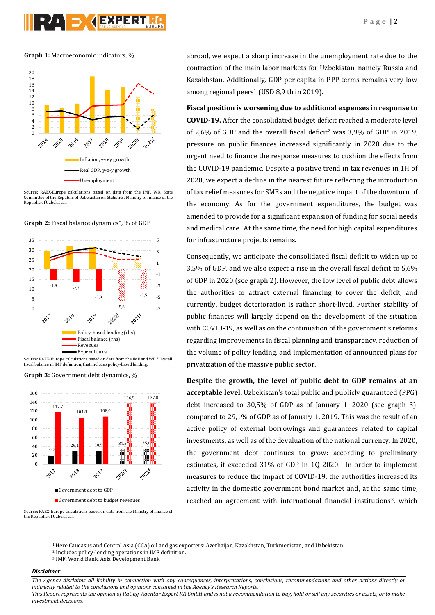# **PAD AEXPERT**

**Graph 1:** Macroeconomic indicators, %



Source: RAEX-Europe calculations based on data from the IMF, WB, State Committee of the Republic of Uzbekistan on Statistics, Ministry of finance of the Republic of Uzbekistan







**Graph 3:** Government debt dynamics, %



abroad, we expect a sharp increase in the unemployment rate due to the contraction of the main labor markets for Uzbekistan, namely Russia and Kazakhstan. Additionally, GDP per capita in PPP terms remains very low among regional peers<sup>1</sup> (USD 8,9 th in 2019).

**Fiscal position is worsening due to additional expenses in response to COVID-19.** After the consolidated budget deficit reached a moderate level of 2,6% of GDP and the overall fiscal deficit<sup>2</sup> was  $3.9\%$  of GDP in 2019, pressure on public finances increased significantly in 2020 due to the urgent need to finance the response measures to cushion the effects from the COVID-19 pandemic. Despite a positive trend in tax revenues in 1H of 2020, we expect a decline in the nearest future reflecting the introduction of tax relief measures for SMEs and the negative impact of the downturn of the economy. As for the government expenditures, the budget was amended to provide for a significant expansion of funding for social needs and medical care. At the same time, the need for high capital expenditures for infrastructure projects remains.

Consequently, we anticipate the consolidated fiscal deficit to widen up to 3,5% of GDP, and we also expect a rise in the overall fiscal deficit to 5,6% of GDP in 2020 (see graph 2). However, the low level of public debt allows the authorities to attract external financing to cover the deficit, and currently, budget deterioration is rather short-lived. Further stability of public finances will largely depend on the development of the situation with COVID-19, as well as on the continuation of the government's reforms regarding improvements in fiscal planning and transparency, reduction of the volume of policy lending, and implementation of announced plans for privatization of the massive public sector.

**Despite the growth, the level of public debt to GDP remains at an acceptable level.** Uzbekistan's total public and publicly guaranteed (PPG) debt increased to 30,5% of GDP as of January 1, 2020 (see graph 3), compared to 29,1% of GDP as of January 1, 2019. This was the result of an active policy of external borrowings and guarantees related to capital investments, as well as of the devaluation of the national currency. In 2020, the government debt continues to grow: according to preliminary estimates, it exceeded 31% of GDP in 1Q 2020. In order to implement measures to reduce the impact of COVID-19, the authorities increased its activity in the domestic government bond market and, at the same time, reached an agreement with international financial institutions<sup>3</sup>, which

Source: RAEX-Europe calculations based on data from the Ministry of finance of the Republic of Uzbekistan

# *Disclaimer*

1

*The Agency disclaims all liability in connection with any consequences, interpretations, conclusions, recommendations and other actions directly or indirectly related to the conclusions and opinions contained in the Agency's Research Reports.*

<sup>1</sup>Here Caucasus and Central Asia (CCA) oil and gas exporters: Azerbaijan, Kazakhstan, Turkmenistan, and Uzbekistan

<sup>2</sup> Includes policy-lending operations in IMF definition.

<sup>3</sup> IMF, World Bank, Asia Development Bank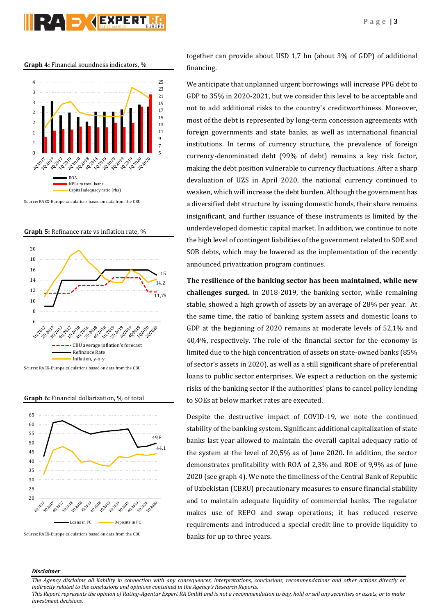**Graph 4:** Financial soundness indicators, %



Source: RAEX-Europe calculations based on data from the CBU

**Graph 5:** Refinance rate vs inflation rate, %







Source: RAEX-Europe calculations based on data from the CBU

together can provide about USD 1,7 bn (about 3% of GDP) of additional financing.

We anticipate that unplanned urgent borrowings will increase PPG debt to GDP to 35% in 2020-2021, but we consider this level to be acceptable and not to add additional risks to the country's creditworthiness. Moreover, most of the debt is represented by long-term concession agreements with foreign governments and state banks, as well as international financial institutions. In terms of currency structure, the prevalence of foreign currency-denominated debt (99% of debt) remains a key risk factor, making the debt position vulnerable to currency fluctuations. After a sharp devaluation of UZS in April 2020, the national currency continued to weaken, which will increase the debt burden. Although the government has a diversified debt structure by issuing domestic bonds, their share remains insignificant, and further issuance of these instruments is limited by the underdeveloped domestic capital market. In addition, we continue to note the high level of contingent liabilities of the government related to SOE and SOB debts, which may be lowered as the implementation of the recently announced privatization program continues.

**The resilience of the banking sector has been maintained, while new challenges surged.** In 2018-2019, the banking sector, while remaining stable, showed a high growth of assets by an average of 28% per year. At the same time, the ratio of banking system assets and domestic loans to GDP at the beginning of 2020 remains at moderate levels of 52,1% and 40,4%, respectively. The role of the financial sector for the economy is limited due to the high concentration of assets on state-owned banks (85% of sector's assets in 2020), as well as a still significant share of preferential loans to public sector enterprises. We expect a reduction on the systemic risks of the banking sector if the authorities' plans to cancel policy lending to SOEs at below market rates are executed.

Despite the destructive impact of COVID-19, we note the continued stability of the banking system. Significant additional capitalization of state banks last year allowed to maintain the overall capital adequacy ratio of the system at the level of 20,5% as of June 2020. In addition, the sector demonstrates profitability with ROA of 2,3% and ROE of 9,9% as of June 2020 (see graph 4). We note the timeliness of the Central Bank of Republic of Uzbekistan (CBRU) precautionary measures to ensure financial stability and to maintain adequate liquidity of commercial banks. The regulator makes use of REPO and swap operations; it has reduced reserve requirements and introduced a special credit line to provide liquidity to banks for up to three years.

#### *Disclaimer*

*The Agency disclaims all liability in connection with any consequences, interpretations, conclusions, recommendations and other actions directly or indirectly related to the conclusions and opinions contained in the Agency's Research Reports.*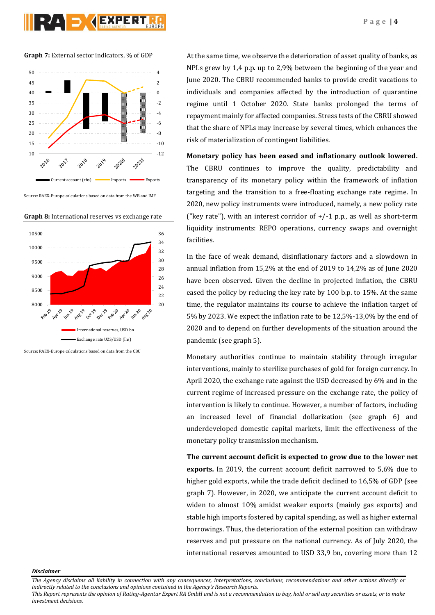**Graph 7:** External sector indicators, % of GDP



Source: RAEX-Europe calculations based on data from the WB and IMF





Source: RAEX-Europe calculations based on data from the CBU

At the same time, we observe the deterioration of asset quality of banks, as NPLs grew by 1,4 p.p. up to 2,9% between the beginning of the year and June 2020. The CBRU recommended banks to provide credit vacations to individuals and companies affected by the introduction of quarantine regime until 1 October 2020. State banks prolonged the terms of repayment mainly for affected companies. Stress tests of the CBRU showed that the share of NPLs may increase by several times, which enhances the risk of materialization of contingent liabilities.

**Monetary policy has been eased and inflationary outlook lowered.** The CBRU continues to improve the quality, predictability and transparency of its monetary policy within the framework of inflation targeting and the transition to a free-floating exchange rate regime. In 2020, new policy instruments were introduced, namely, a new policy rate ("key rate"), with an interest corridor of  $+/-1$  p.p., as well as short-term liquidity instruments: REPO operations, currency swaps and overnight facilities.

In the face of weak demand, disinflationary factors and a slowdown in annual inflation from 15,2% at the end of 2019 to 14,2% as of June 2020 have been observed. Given the decline in projected inflation, the CBRU eased the policy by reducing the key rate by 100 b.p. to 15%. At the same time, the regulator maintains its course to achieve the inflation target of 5% by 2023. We expect the inflation rate to be 12,5%-13,0% by the end of 2020 and to depend on further developments of the situation around the pandemic (see graph 5).

Monetary authorities continue to maintain stability through irregular interventions, mainly to sterilize purchases of gold for foreign currency. In April 2020, the exchange rate against the USD decreased by 6% and in the current regime of increased pressure on the exchange rate, the policy of intervention is likely to continue. However, a number of factors, including an increased level of financial dollarization (see graph 6) and underdeveloped domestic capital markets, limit the effectiveness of the monetary policy transmission mechanism.

**The current account deficit is expected to grow due to the lower net exports.** In 2019, the current account deficit narrowed to 5,6% due to higher gold exports, while the trade deficit declined to 16,5% of GDP (see graph 7). However, in 2020, we anticipate the current account deficit to widen to almost 10% amidst weaker exports (mainly gas exports) and stable high imports fostered by capital spending, as well as higher external borrowings. Thus, the deterioration of the external position can withdraw reserves and put pressure on the national currency. As of July 2020, the international reserves amounted to USD 33,9 bn, covering more than 12

*Disclaimer* 

*The Agency disclaims all liability in connection with any consequences, interpretations, conclusions, recommendations and other actions directly or indirectly related to the conclusions and opinions contained in the Agency's Research Reports.*